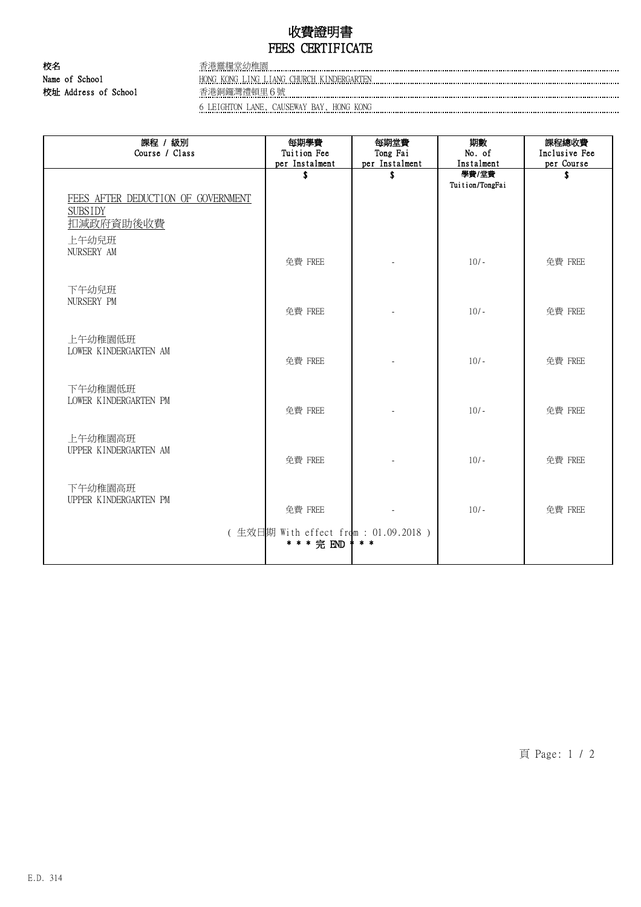## 收費證明書 FEES CERTIFICATE

校名 おおおところ おおおところ 香港靈糧堂幼稚園

Name of School **HONG KONG LING LIANG CHURCH KINDERGARTEN** 校址 Address of School 香港銅鑼灣禮頓里6號 6 LEIGHTON LANE, CAUSEWAY BAY, HONG KONG

課程 / 級別 Course / Class 每期學費 Tuition Fee per Instalment 每期堂費 Tong Fai per Instalment 期數 No. of Instalment 課程總收費 Inclusive Fee per Course \$ \$ 學費/堂費 Tuition/TongFai \$ FEES AFTER DEDUCTION OF GOVERNMENT **SUBSIDY** 扣減政府資助後收費 上午幼兒班 NURSERY AM 免費 FREE | - | 10/- | 免費 FREE 下午幼兒班 NURSERY PM 免費 FREE | The Table of Table 10/- | 免費 FREE 上午幼稚園低班 LOWER KINDERGARTEN AM 免費 FREE - 10/- 免費 FREE 下午幼稚園低班 LOWER KINDERGARTEN PM 免費 FREE The Tell of the 10/- The off 免費 FREE 上午幼稚園高班 UPPER KINDERGARTEN AM 免費 FREE  $\left\vert \begin{array}{ccc} 10/2 & 10/2 & 10/2 \end{array} \right\vert$  免費 FREE 下午幼稚園高班 UPPER KINDERGARTEN PM 免費 FREE 2000 | 2010 | 全費 FREE ( 生效日期 With effect from : 01.09.2018 ) \* \* \* 完 END \* \* \*

頁 Page: 1 / 2